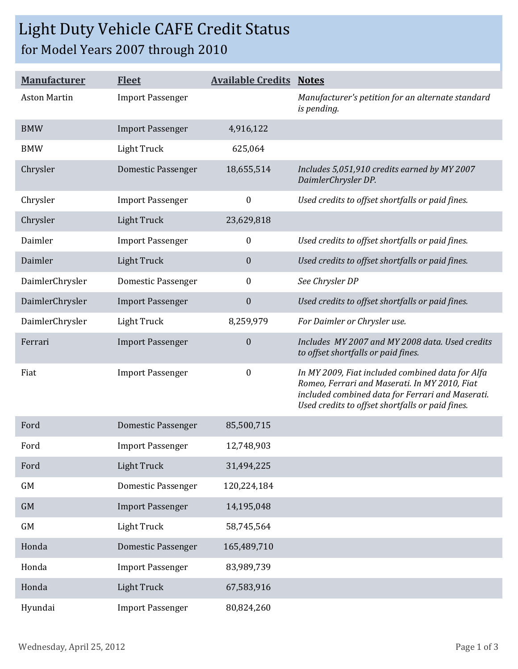## Light Duty Vehicle CAFE Credit Status for Model Years 2007 through 2010

| <b>Manufacturer</b> | <b>Fleet</b>              | <b>Available Credits Notes</b> |                                                                                                                                                                                                           |
|---------------------|---------------------------|--------------------------------|-----------------------------------------------------------------------------------------------------------------------------------------------------------------------------------------------------------|
| <b>Aston Martin</b> | <b>Import Passenger</b>   |                                | Manufacturer's petition for an alternate standard<br>is pending.                                                                                                                                          |
| <b>BMW</b>          | <b>Import Passenger</b>   | 4,916,122                      |                                                                                                                                                                                                           |
| <b>BMW</b>          | <b>Light Truck</b>        | 625,064                        |                                                                                                                                                                                                           |
| Chrysler            | <b>Domestic Passenger</b> | 18,655,514                     | Includes 5,051,910 credits earned by MY 2007<br>DaimlerChrysler DP.                                                                                                                                       |
| Chrysler            | <b>Import Passenger</b>   | $\boldsymbol{0}$               | Used credits to offset shortfalls or paid fines.                                                                                                                                                          |
| Chrysler            | <b>Light Truck</b>        | 23,629,818                     |                                                                                                                                                                                                           |
| Daimler             | <b>Import Passenger</b>   | $\boldsymbol{0}$               | Used credits to offset shortfalls or paid fines.                                                                                                                                                          |
| Daimler             | <b>Light Truck</b>        | $\boldsymbol{0}$               | Used credits to offset shortfalls or paid fines.                                                                                                                                                          |
| DaimlerChrysler     | <b>Domestic Passenger</b> | $\boldsymbol{0}$               | See Chrysler DP                                                                                                                                                                                           |
| DaimlerChrysler     | <b>Import Passenger</b>   | $\boldsymbol{0}$               | Used credits to offset shortfalls or paid fines.                                                                                                                                                          |
| DaimlerChrysler     | Light Truck               | 8,259,979                      | For Daimler or Chrysler use.                                                                                                                                                                              |
| Ferrari             | <b>Import Passenger</b>   | $\boldsymbol{0}$               | Includes MY 2007 and MY 2008 data. Used credits<br>to offset shortfalls or paid fines.                                                                                                                    |
| Fiat                | <b>Import Passenger</b>   | $\boldsymbol{0}$               | In MY 2009, Fiat included combined data for Alfa<br>Romeo, Ferrari and Maserati. In MY 2010, Fiat<br>included combined data for Ferrari and Maserati.<br>Used credits to offset shortfalls or paid fines. |
| Ford                | Domestic Passenger        | 85,500,715                     |                                                                                                                                                                                                           |
| Ford                | <b>Import Passenger</b>   | 12,748,903                     |                                                                                                                                                                                                           |
| Ford                | Light Truck               | 31,494,225                     |                                                                                                                                                                                                           |
| GM                  | Domestic Passenger        | 120,224,184                    |                                                                                                                                                                                                           |
| GM                  | <b>Import Passenger</b>   | 14,195,048                     |                                                                                                                                                                                                           |
| GM                  | <b>Light Truck</b>        | 58,745,564                     |                                                                                                                                                                                                           |
| Honda               | <b>Domestic Passenger</b> | 165,489,710                    |                                                                                                                                                                                                           |
| Honda               | <b>Import Passenger</b>   | 83,989,739                     |                                                                                                                                                                                                           |
| Honda               | <b>Light Truck</b>        | 67,583,916                     |                                                                                                                                                                                                           |
| Hyundai             | <b>Import Passenger</b>   | 80,824,260                     |                                                                                                                                                                                                           |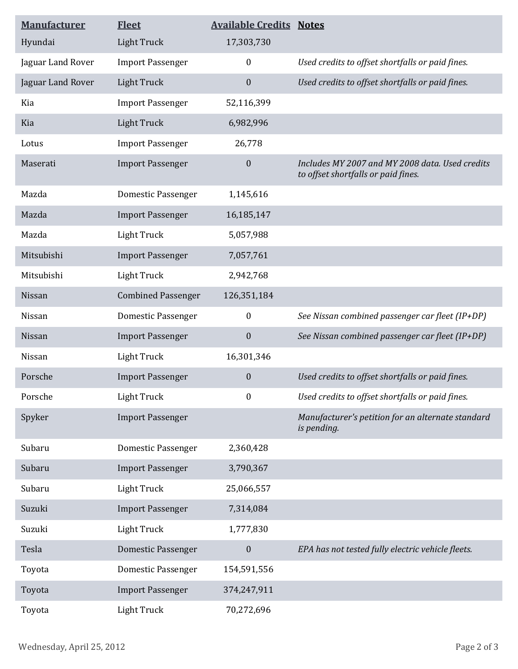| <b>Manufacturer</b> | <b>Fleet</b>              | <b>Available Credits Notes</b> |                                                                                        |
|---------------------|---------------------------|--------------------------------|----------------------------------------------------------------------------------------|
| Hyundai             | <b>Light Truck</b>        | 17,303,730                     |                                                                                        |
| Jaguar Land Rover   | <b>Import Passenger</b>   | $\boldsymbol{0}$               | Used credits to offset shortfalls or paid fines.                                       |
| Jaguar Land Rover   | <b>Light Truck</b>        | $\boldsymbol{0}$               | Used credits to offset shortfalls or paid fines.                                       |
| Kia                 | <b>Import Passenger</b>   | 52,116,399                     |                                                                                        |
| Kia                 | <b>Light Truck</b>        | 6,982,996                      |                                                                                        |
| Lotus               | <b>Import Passenger</b>   | 26,778                         |                                                                                        |
| Maserati            | <b>Import Passenger</b>   | $\mathbf{0}$                   | Includes MY 2007 and MY 2008 data. Used credits<br>to offset shortfalls or paid fines. |
| Mazda               | <b>Domestic Passenger</b> | 1,145,616                      |                                                                                        |
| Mazda               | <b>Import Passenger</b>   | 16,185,147                     |                                                                                        |
| Mazda               | <b>Light Truck</b>        | 5,057,988                      |                                                                                        |
| Mitsubishi          | <b>Import Passenger</b>   | 7,057,761                      |                                                                                        |
| Mitsubishi          | <b>Light Truck</b>        | 2,942,768                      |                                                                                        |
| Nissan              | <b>Combined Passenger</b> | 126,351,184                    |                                                                                        |
| Nissan              | <b>Domestic Passenger</b> | $\boldsymbol{0}$               | See Nissan combined passenger car fleet (IP+DP)                                        |
| Nissan              | <b>Import Passenger</b>   | $\boldsymbol{0}$               | See Nissan combined passenger car fleet (IP+DP)                                        |
| Nissan              | <b>Light Truck</b>        | 16,301,346                     |                                                                                        |
| Porsche             | <b>Import Passenger</b>   | $\boldsymbol{0}$               | Used credits to offset shortfalls or paid fines.                                       |
| Porsche             | <b>Light Truck</b>        | $\boldsymbol{0}$               | Used credits to offset shortfalls or paid fines.                                       |
| Spyker              | <b>Import Passenger</b>   |                                | Manufacturer's petition for an alternate standard<br>is pending.                       |
| Subaru              | <b>Domestic Passenger</b> | 2,360,428                      |                                                                                        |
| Subaru              | <b>Import Passenger</b>   | 3,790,367                      |                                                                                        |
| Subaru              | <b>Light Truck</b>        | 25,066,557                     |                                                                                        |
| Suzuki              | <b>Import Passenger</b>   | 7,314,084                      |                                                                                        |
| Suzuki              | <b>Light Truck</b>        | 1,777,830                      |                                                                                        |
| Tesla               | <b>Domestic Passenger</b> | $\boldsymbol{0}$               | EPA has not tested fully electric vehicle fleets.                                      |
| Toyota              | <b>Domestic Passenger</b> | 154,591,556                    |                                                                                        |
| Toyota              | <b>Import Passenger</b>   | 374,247,911                    |                                                                                        |
| Toyota              | <b>Light Truck</b>        | 70,272,696                     |                                                                                        |